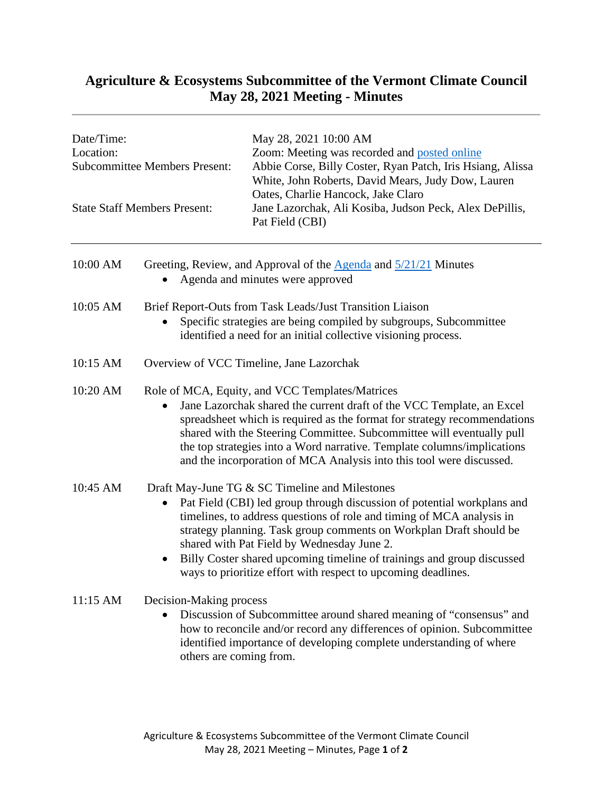## **Agriculture & Ecosystems Subcommittee of the Vermont Climate Council May 28, 2021 Meeting - Minutes**

| Date/Time:<br>Location:<br><b>Subcommittee Members Present:</b><br><b>State Staff Members Present:</b> |                                                                                                                                                                                                                                                                                                                                                                                                                                                                  | May 28, 2021 10:00 AM<br>Zoom: Meeting was recorded and posted online<br>Abbie Corse, Billy Coster, Ryan Patch, Iris Hsiang, Alissa<br>White, John Roberts, David Mears, Judy Dow, Lauren<br>Oates, Charlie Hancock, Jake Claro<br>Jane Lazorchak, Ali Kosiba, Judson Peck, Alex DePillis,<br>Pat Field (CBI) |
|--------------------------------------------------------------------------------------------------------|------------------------------------------------------------------------------------------------------------------------------------------------------------------------------------------------------------------------------------------------------------------------------------------------------------------------------------------------------------------------------------------------------------------------------------------------------------------|---------------------------------------------------------------------------------------------------------------------------------------------------------------------------------------------------------------------------------------------------------------------------------------------------------------|
| 10:00 AM                                                                                               | Greeting, Review, and Approval of the $\triangle$ genda and $\frac{5}{21/21}$ Minutes<br>Agenda and minutes were approved                                                                                                                                                                                                                                                                                                                                        |                                                                                                                                                                                                                                                                                                               |
| 10:05 AM                                                                                               | Brief Report-Outs from Task Leads/Just Transition Liaison<br>Specific strategies are being compiled by subgroups, Subcommittee<br>identified a need for an initial collective visioning process.                                                                                                                                                                                                                                                                 |                                                                                                                                                                                                                                                                                                               |
| 10:15 AM                                                                                               | Overview of VCC Timeline, Jane Lazorchak                                                                                                                                                                                                                                                                                                                                                                                                                         |                                                                                                                                                                                                                                                                                                               |
| 10:20 AM                                                                                               | Role of MCA, Equity, and VCC Templates/Matrices<br>Jane Lazorchak shared the current draft of the VCC Template, an Excel<br>spreadsheet which is required as the format for strategy recommendations<br>shared with the Steering Committee. Subcommittee will eventually pull<br>the top strategies into a Word narrative. Template columns/implications<br>and the incorporation of MCA Analysis into this tool were discussed.                                 |                                                                                                                                                                                                                                                                                                               |
| 10:45 AM                                                                                               | Draft May-June TG & SC Timeline and Milestones<br>Pat Field (CBI) led group through discussion of potential workplans and<br>timelines, to address questions of role and timing of MCA analysis in<br>strategy planning. Task group comments on Workplan Draft should be<br>shared with Pat Field by Wednesday June 2.<br>Billy Coster shared upcoming timeline of trainings and group discussed<br>ways to prioritize effort with respect to upcoming deadlines |                                                                                                                                                                                                                                                                                                               |
| 11:15 AM                                                                                               | Decision-Making process<br>Discussion of Subcommittee around shared meaning of "consensus" and<br>how to reconcile and/or record any differences of opinion. Subcommittee<br>identified importance of developing complete understanding of where<br>others are coming from.                                                                                                                                                                                      |                                                                                                                                                                                                                                                                                                               |